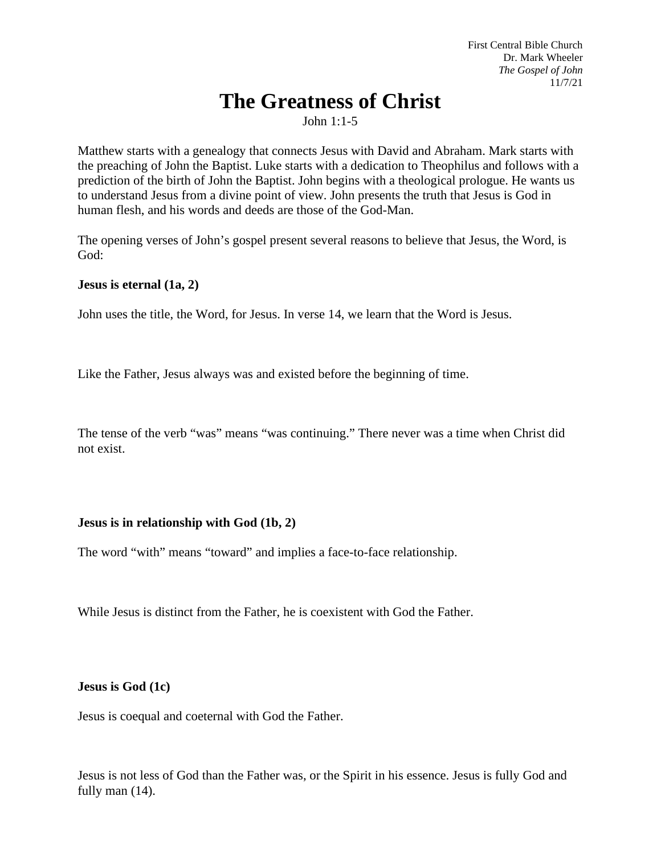First Central Bible Church Dr. Mark Wheeler *The Gospel of John* 11/7/21

# **The Greatness of Christ**

John 1:1-5

Matthew starts with a genealogy that connects Jesus with David and Abraham. Mark starts with the preaching of John the Baptist. Luke starts with a dedication to Theophilus and follows with a prediction of the birth of John the Baptist. John begins with a theological prologue. He wants us to understand Jesus from a divine point of view. John presents the truth that Jesus is God in human flesh, and his words and deeds are those of the God-Man.

The opening verses of John's gospel present several reasons to believe that Jesus, the Word, is God:

**Jesus is eternal (1a, 2)**

John uses the title, the Word, for Jesus. In verse 14, we learn that the Word is Jesus.

Like the Father, Jesus always was and existed before the beginning of time.

The tense of the verb "was" means "was continuing." There never was a time when Christ did not exist.

## **Jesus is in relationship with God (1b, 2)**

The word "with" means "toward" and implies a face-to-face relationship.

While Jesus is distinct from the Father, he is coexistent with God the Father.

#### **Jesus is God (1c)**

Jesus is coequal and coeternal with God the Father.

Jesus is not less of God than the Father was, or the Spirit in his essence. Jesus is fully God and fully man (14).